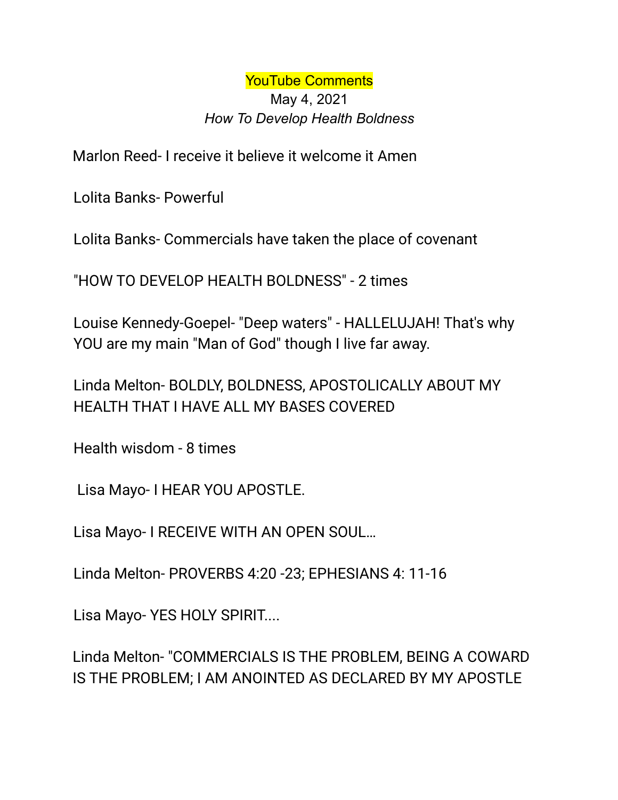YouTube Comments May 4, 2021 *How To Develop Health Boldness*

Marlon Reed- I receive it believe it welcome it Amen

Lolita Banks- Powerful

Lolita Banks- Commercials have taken the place of covenant

"HOW TO DEVELOP HEALTH BOLDNESS" - 2 times

Louise Kennedy-Goepel- "Deep waters" - HALLELUJAH! That's why YOU are my main "Man of God" though I live far away.

Linda Melton- BOLDLY, BOLDNESS, APOSTOLICALLY ABOUT MY HEALTH THAT I HAVE ALL MY BASES COVERED

Health wisdom - 8 times

Lisa Mayo- I HEAR YOU APOSTLE.

Lisa Mayo- I RECEIVE WITH AN OPEN SOUL…

Linda Melton- PROVERBS 4:20 -23; EPHESIANS 4: 11-16

Lisa Mayo- YES HOLY SPIRIT....

Linda Melton- "COMMERCIALS IS THE PROBLEM, BEING A COWARD IS THE PROBLEM; I AM ANOINTED AS DECLARED BY MY APOSTLE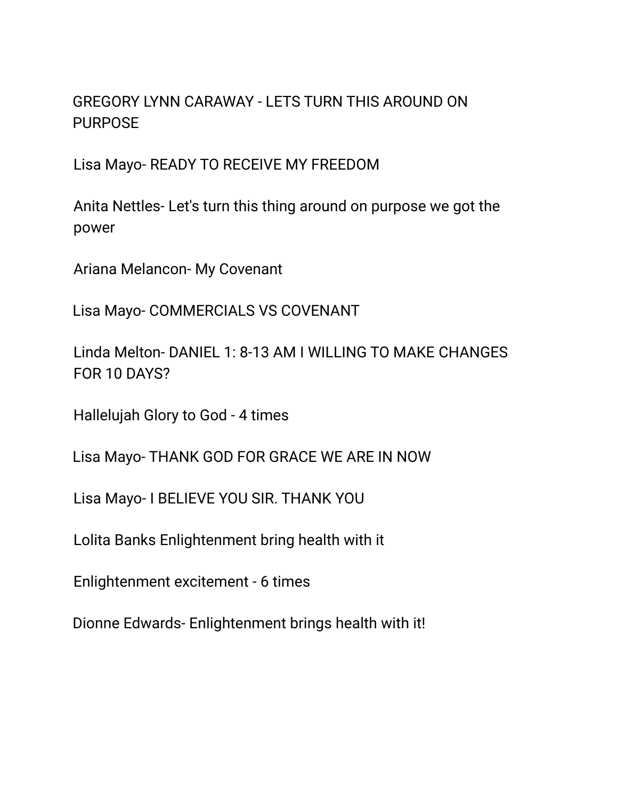## GREGORY LYNN CARAWAY - LETS TURN THIS AROUND ON PURPOSE

Lisa Mayo- READY TO RECEIVE MY FREEDOM

Anita Nettles- Let's turn this thing around on purpose we got the power

Ariana Melancon- My Covenant

Lisa Mayo- COMMERCIALS VS COVENANT

Linda Melton- DANIEL 1: 8-13 AM I WILLING TO MAKE CHANGES FOR 10 DAYS?

Hallelujah Glory to God - 4 times

Lisa Mayo- THANK GOD FOR GRACE WE ARE IN NOW

Lisa Mayo- I BELIEVE YOU SIR. THANK YOU

Lolita Banks Enlightenment bring health with it

Enlightenment excitement - 6 times

Dionne Edwards- Enlightenment brings health with it!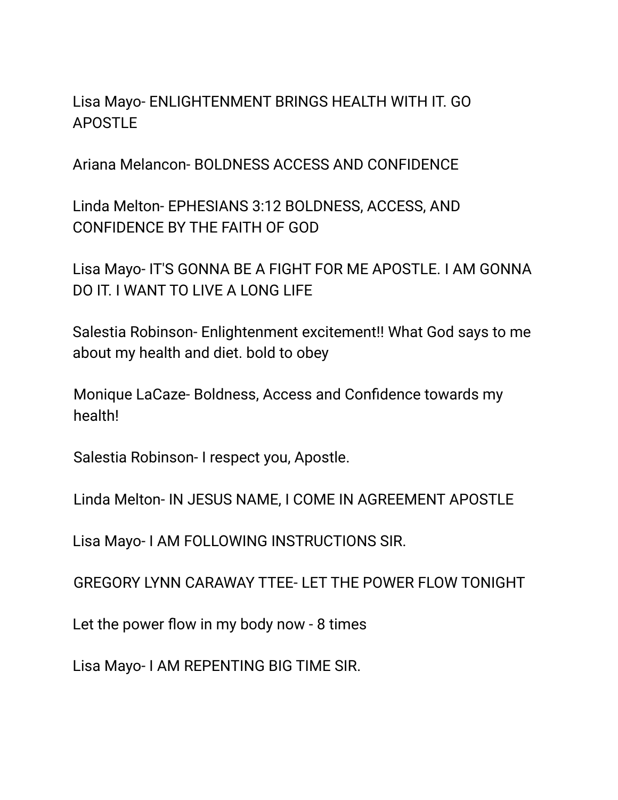Lisa Mayo- ENLIGHTENMENT BRINGS HEALTH WITH IT. GO APOSTLE

Ariana Melancon- BOLDNESS ACCESS AND CONFIDENCE

Linda Melton- EPHESIANS 3:12 BOLDNESS, ACCESS, AND CONFIDENCE BY THE FAITH OF GOD

Lisa Mayo- IT'S GONNA BE A FIGHT FOR ME APOSTLE. I AM GONNA DO IT. I WANT TO LIVE A LONG LIFE

Salestia Robinson- Enlightenment excitement!! What God says to me about my health and diet. bold to obey

Monique LaCaze- Boldness, Access and Confidence towards my health!

Salestia Robinson- I respect you, Apostle.

Linda Melton- IN JESUS NAME, I COME IN AGREEMENT APOSTLE

Lisa Mayo- I AM FOLLOWING INSTRUCTIONS SIR.

GREGORY LYNN CARAWAY TTEE- LET THE POWER FLOW TONIGHT

Let the power flow in my body now - 8 times

Lisa Mayo- I AM REPENTING BIG TIME SIR.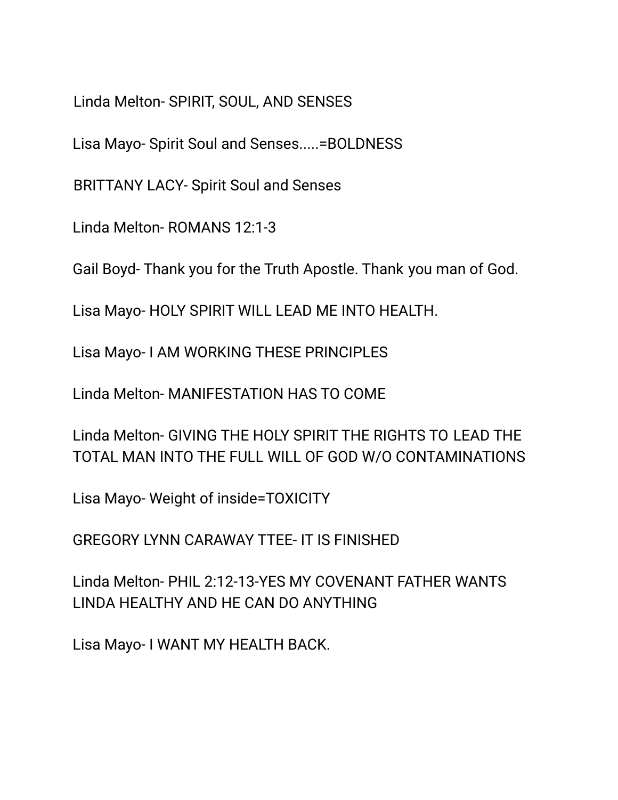Linda Melton- SPIRIT, SOUL, AND SENSES

Lisa Mayo- Spirit Soul and Senses.....=BOLDNESS

BRITTANY LACY- Spirit Soul and Senses

Linda Melton- ROMANS 12:1-3

Gail Boyd- Thank you for the Truth Apostle. Thank you man of God.

Lisa Mayo- HOLY SPIRIT WILL LEAD ME INTO HEALTH.

Lisa Mayo- I AM WORKING THESE PRINCIPLES

Linda Melton- MANIFESTATION HAS TO COME

Linda Melton- GIVING THE HOLY SPIRIT THE RIGHTS TO LEAD THE TOTAL MAN INTO THE FULL WILL OF GOD W/O CONTAMINATIONS

Lisa Mayo- Weight of inside=TOXICITY

GREGORY LYNN CARAWAY TTEE- IT IS FINISHED

Linda Melton- PHIL 2:12-13-YES MY COVENANT FATHER WANTS LINDA HEALTHY AND HE CAN DO ANYTHING

Lisa Mayo- I WANT MY HEALTH BACK.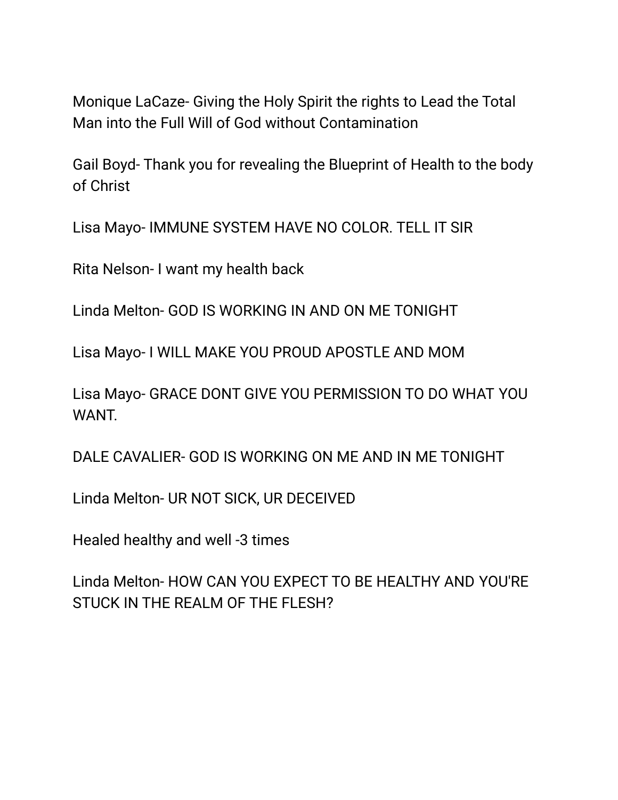Monique LaCaze- Giving the Holy Spirit the rights to Lead the Total Man into the Full Will of God without Contamination

Gail Boyd- Thank you for revealing the Blueprint of Health to the body of Christ

Lisa Mayo- IMMUNE SYSTEM HAVE NO COLOR. TELL IT SIR

Rita Nelson- I want my health back

Linda Melton- GOD IS WORKING IN AND ON ME TONIGHT

Lisa Mayo- I WILL MAKE YOU PROUD APOSTLE AND MOM

Lisa Mayo- GRACE DONT GIVE YOU PERMISSION TO DO WHAT YOU WANT.

DALE CAVALIER- GOD IS WORKING ON ME AND IN ME TONIGHT

Linda Melton- UR NOT SICK, UR DECEIVED

Healed healthy and well -3 times

Linda Melton- HOW CAN YOU EXPECT TO BE HEALTHY AND YOU'RE STUCK IN THE REALM OF THE FLESH?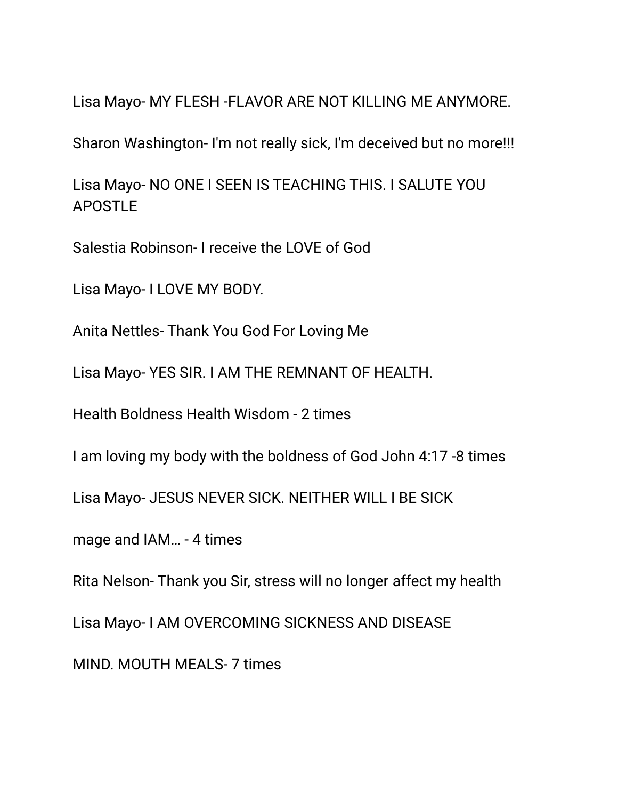Lisa Mayo- MY FLESH -FLAVOR ARE NOT KILLING ME ANYMORE.

Sharon Washington- I'm not really sick, I'm deceived but no more!!!

Lisa Mayo- NO ONE I SEEN IS TEACHING THIS. I SALUTE YOU APOSTLE

Salestia Robinson- I receive the LOVE of God

Lisa Mayo- I LOVE MY BODY.

Anita Nettles- Thank You God For Loving Me

Lisa Mayo- YES SIR. I AM THE REMNANT OF HEALTH.

Health Boldness Health Wisdom - 2 times

I am loving my body with the boldness of God John 4:17 -8 times

Lisa Mayo- JESUS NEVER SICK. NEITHER WILL I BE SICK

mage and IAM… - 4 times

Rita Nelson- Thank you Sir, stress will no longer affect my health

Lisa Mayo- I AM OVERCOMING SICKNESS AND DISEASE

MIND. MOUTH MEALS- 7 times